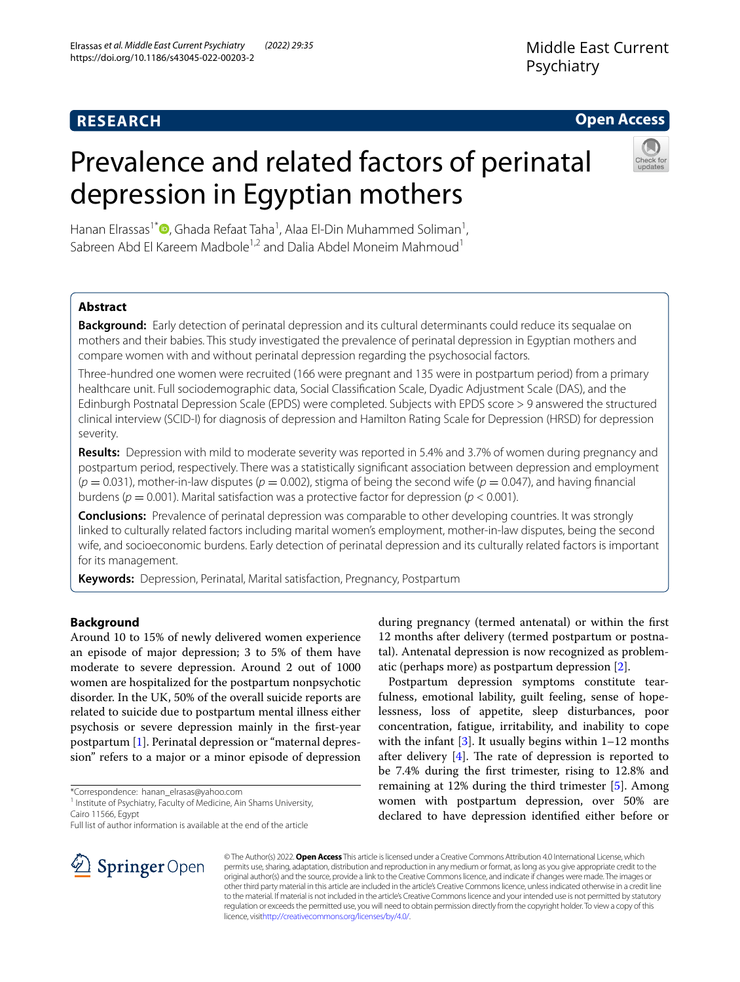# **RESEARCH**

## **Open Access**

# Prevalence and related factors of perinatal depression in Egyptian mothers



Hanan Elrassas<sup>1[\\*](http://orcid.org/0000-0001-6607-4078)</sup> D, Ghada Refaat Taha<sup>1</sup>, Alaa El-Din Muhammed Soliman<sup>1</sup>, Sabreen Abd El Kareem Madbole<sup>1,2</sup> and Dalia Abdel Moneim Mahmoud<sup>1</sup>

## **Abstract**

**Background:** Early detection of perinatal depression and its cultural determinants could reduce its sequalae on mothers and their babies. This study investigated the prevalence of perinatal depression in Egyptian mothers and compare women with and without perinatal depression regarding the psychosocial factors.

Three-hundred one women were recruited (166 were pregnant and 135 were in postpartum period) from a primary healthcare unit. Full sociodemographic data, Social Classifcation Scale, Dyadic Adjustment Scale (DAS), and the Edinburgh Postnatal Depression Scale (EPDS) were completed. Subjects with EPDS score > 9 answered the structured clinical interview (SCID-I) for diagnosis of depression and Hamilton Rating Scale for Depression (HRSD) for depression severity.

**Results:** Depression with mild to moderate severity was reported in 5.4% and 3.7% of women during pregnancy and postpartum period, respectively. There was a statistically signifcant association between depression and employment  $(p = 0.031)$ , mother-in-law disputes  $(p = 0.002)$ , stigma of being the second wife  $(p = 0.047)$ , and having financial burdens (*p* = 0.001). Marital satisfaction was a protective factor for depression (*p* < 0.001).

**Conclusions:** Prevalence of perinatal depression was comparable to other developing countries. It was strongly linked to culturally related factors including marital women's employment, mother-in-law disputes, being the second wife, and socioeconomic burdens. Early detection of perinatal depression and its culturally related factors is important for its management.

**Keywords:** Depression, Perinatal, Marital satisfaction, Pregnancy, Postpartum

## **Background**

Around 10 to 15% of newly delivered women experience an episode of major depression; 3 to 5% of them have moderate to severe depression. Around 2 out of 1000 women are hospitalized for the postpartum nonpsychotic disorder. In the UK, 50% of the overall suicide reports are related to suicide due to postpartum mental illness either psychosis or severe depression mainly in the frst-year postpartum [[1\]](#page-6-0). Perinatal depression or "maternal depression" refers to a major or a minor episode of depression



Postpartum depression symptoms constitute tearfulness, emotional lability, guilt feeling, sense of hopelessness, loss of appetite, sleep disturbances, poor concentration, fatigue, irritability, and inability to cope with the infant  $[3]$  $[3]$ . It usually begins within  $1-12$  months after delivery  $[4]$ . The rate of depression is reported to be 7.4% during the frst trimester, rising to 12.8% and remaining at 12% during the third trimester [[5](#page-7-3)]. Among women with postpartum depression, over 50% are declared to have depression identifed either before or



© The Author(s) 2022. **Open Access** This article is licensed under a Creative Commons Attribution 4.0 International License, which permits use, sharing, adaptation, distribution and reproduction in any medium or format, as long as you give appropriate credit to the original author(s) and the source, provide a link to the Creative Commons licence, and indicate if changes were made. The images or other third party material in this article are included in the article's Creative Commons licence, unless indicated otherwise in a credit line to the material. If material is not included in the article's Creative Commons licence and your intended use is not permitted by statutory regulation or exceeds the permitted use, you will need to obtain permission directly from the copyright holder. To view a copy of this licence, visi[thttp://creativecommons.org/licenses/by/4.0/](http://creativecommons.org/licenses/by/4.0/).

<sup>\*</sup>Correspondence: hanan\_elrasas@yahoo.com

<sup>&</sup>lt;sup>1</sup> Institute of Psychiatry, Faculty of Medicine, Ain Shams University, Cairo 11566, Egypt

Full list of author information is available at the end of the article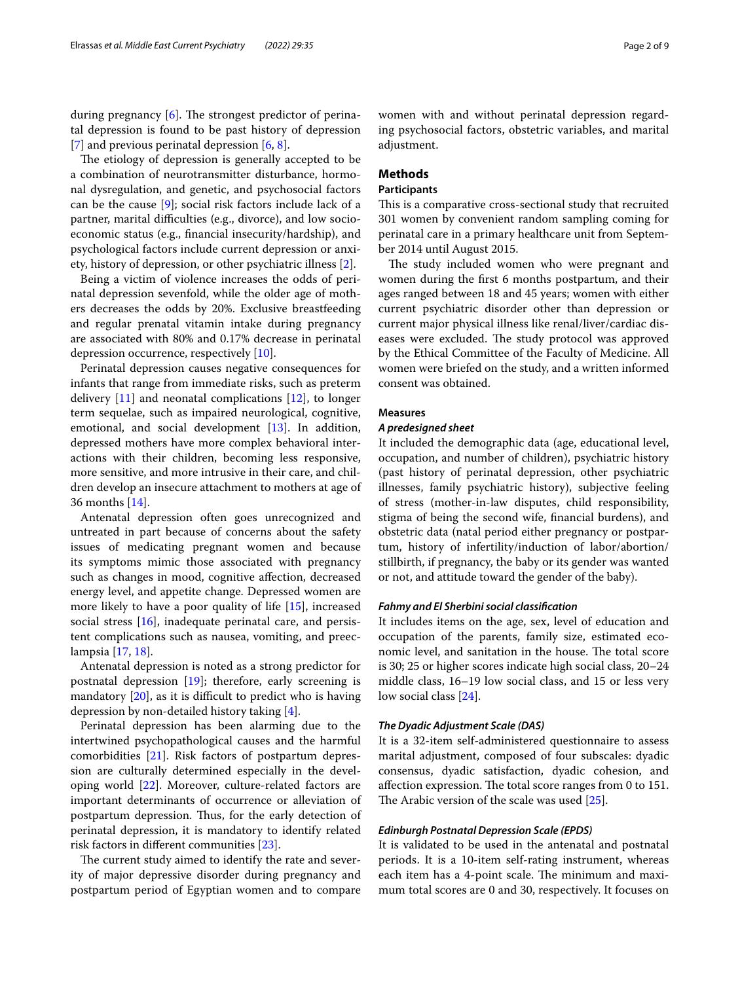during pregnancy  $[6]$ . The strongest predictor of perinatal depression is found to be past history of depression [[7\]](#page-7-5) and previous perinatal depression [[6,](#page-7-4) [8](#page-7-6)].

The etiology of depression is generally accepted to be a combination of neurotransmitter disturbance, hormonal dysregulation, and genetic, and psychosocial factors can be the cause [\[9](#page-7-7)]; social risk factors include lack of a partner, marital difficulties (e.g., divorce), and low socioeconomic status (e.g., fnancial insecurity/hardship), and psychological factors include current depression or anxiety, history of depression, or other psychiatric illness [\[2](#page-7-0)].

Being a victim of violence increases the odds of perinatal depression sevenfold, while the older age of mothers decreases the odds by 20%. Exclusive breastfeeding and regular prenatal vitamin intake during pregnancy are associated with 80% and 0.17% decrease in perinatal depression occurrence, respectively [\[10](#page-7-8)].

Perinatal depression causes negative consequences for infants that range from immediate risks, such as preterm delivery  $[11]$  $[11]$  and neonatal complications  $[12]$  $[12]$ , to longer term sequelae, such as impaired neurological, cognitive, emotional, and social development [\[13](#page-7-11)]. In addition, depressed mothers have more complex behavioral interactions with their children, becoming less responsive, more sensitive, and more intrusive in their care, and children develop an insecure attachment to mothers at age of 36 months [\[14](#page-7-12)].

Antenatal depression often goes unrecognized and untreated in part because of concerns about the safety issues of medicating pregnant women and because its symptoms mimic those associated with pregnancy such as changes in mood, cognitive afection, decreased energy level, and appetite change. Depressed women are more likely to have a poor quality of life [[15\]](#page-7-13), increased social stress [\[16](#page-7-14)], inadequate perinatal care, and persistent complications such as nausea, vomiting, and preeclampsia [[17,](#page-7-15) [18\]](#page-7-16).

Antenatal depression is noted as a strong predictor for postnatal depression [\[19](#page-7-17)]; therefore, early screening is mandatory  $[20]$  $[20]$  $[20]$ , as it is difficult to predict who is having depression by non-detailed history taking [[4\]](#page-7-2).

Perinatal depression has been alarming due to the intertwined psychopathological causes and the harmful comorbidities [[21\]](#page-7-19). Risk factors of postpartum depression are culturally determined especially in the developing world [\[22](#page-7-20)]. Moreover, culture-related factors are important determinants of occurrence or alleviation of postpartum depression. Thus, for the early detection of perinatal depression, it is mandatory to identify related risk factors in diferent communities [[23\]](#page-7-21).

The current study aimed to identify the rate and severity of major depressive disorder during pregnancy and postpartum period of Egyptian women and to compare women with and without perinatal depression regarding psychosocial factors, obstetric variables, and marital adjustment.

## **Methods**

## **Participants**

This is a comparative cross-sectional study that recruited 301 women by convenient random sampling coming for perinatal care in a primary healthcare unit from September 2014 until August 2015.

The study included women who were pregnant and women during the frst 6 months postpartum, and their ages ranged between 18 and 45 years; women with either current psychiatric disorder other than depression or current major physical illness like renal/liver/cardiac diseases were excluded. The study protocol was approved by the Ethical Committee of the Faculty of Medicine. All women were briefed on the study, and a written informed consent was obtained.

## **Measures**

## *A predesigned sheet*

It included the demographic data (age, educational level, occupation, and number of children), psychiatric history (past history of perinatal depression, other psychiatric illnesses, family psychiatric history), subjective feeling of stress (mother-in-law disputes, child responsibility, stigma of being the second wife, fnancial burdens), and obstetric data (natal period either pregnancy or postpartum, history of infertility/induction of labor/abortion/ stillbirth, if pregnancy, the baby or its gender was wanted or not, and attitude toward the gender of the baby).

## *Fahmy and El Sherbini social classifcation*

It includes items on the age, sex, level of education and occupation of the parents, family size, estimated economic level, and sanitation in the house. The total score is 30; 25 or higher scores indicate high social class, 20–24 middle class, 16–19 low social class, and 15 or less very low social class [[24\]](#page-7-22).

## *The Dyadic Adjustment Scale (DAS)*

It is a 32-item self-administered questionnaire to assess marital adjustment, composed of four subscales: dyadic consensus, dyadic satisfaction, dyadic cohesion, and affection expression. The total score ranges from 0 to 151. The Arabic version of the scale was used  $[25]$  $[25]$ .

#### *Edinburgh Postnatal Depression Scale (EPDS)*

It is validated to be used in the antenatal and postnatal periods. It is a 10-item self-rating instrument, whereas each item has a 4-point scale. The minimum and maximum total scores are 0 and 30, respectively. It focuses on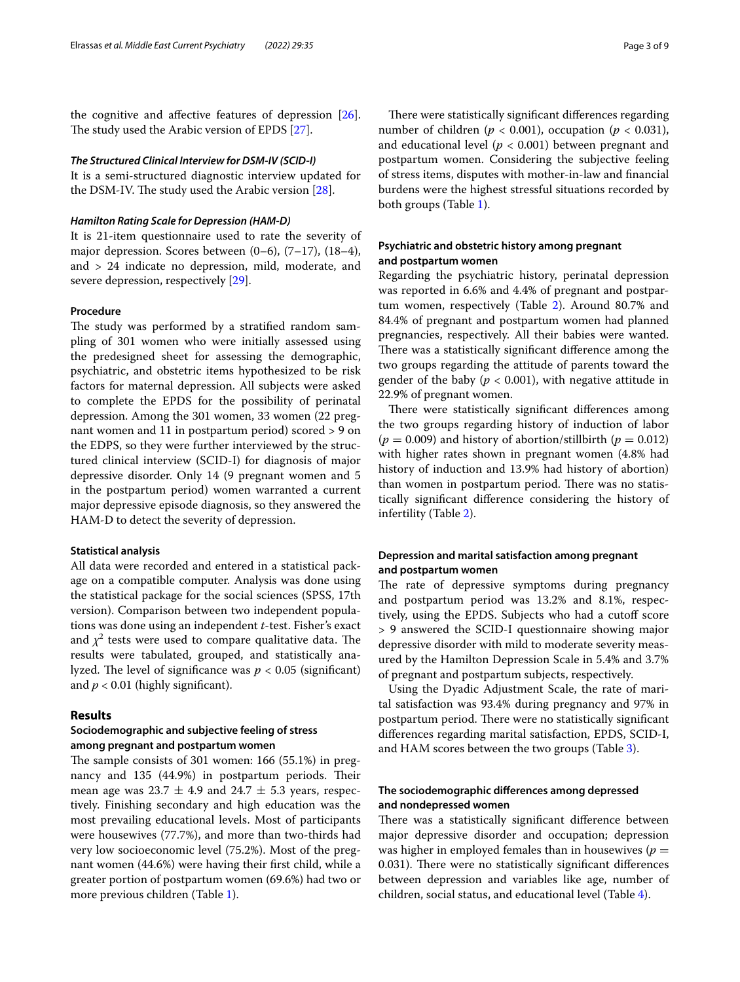the cognitive and afective features of depression [\[26](#page-7-24)]. The study used the Arabic version of EPDS [[27](#page-7-25)].

## *The Structured Clinical Interview for DSM‑IV (SCID‑I)*

It is a semi-structured diagnostic interview updated for the DSM-IV. The study used the Arabic version [\[28](#page-7-26)].

#### *Hamilton Rating Scale for Depression (HAM‑D)*

It is 21-item questionnaire used to rate the severity of major depression. Scores between (0–6), (7–17), (18–4), and > 24 indicate no depression, mild, moderate, and severe depression, respectively [\[29\]](#page-7-27).

## **Procedure**

The study was performed by a stratified random sampling of 301 women who were initially assessed using the predesigned sheet for assessing the demographic, psychiatric, and obstetric items hypothesized to be risk factors for maternal depression. All subjects were asked to complete the EPDS for the possibility of perinatal depression. Among the 301 women, 33 women (22 pregnant women and 11 in postpartum period) scored > 9 on the EDPS, so they were further interviewed by the structured clinical interview (SCID-I) for diagnosis of major depressive disorder. Only 14 (9 pregnant women and 5 in the postpartum period) women warranted a current major depressive episode diagnosis, so they answered the HAM-D to detect the severity of depression.

## **Statistical analysis**

All data were recorded and entered in a statistical package on a compatible computer. Analysis was done using the statistical package for the social sciences (SPSS, 17th version). Comparison between two independent populations was done using an independent *t*-test. Fisher's exact and  $\chi^2$  tests were used to compare qualitative data. The results were tabulated, grouped, and statistically analyzed. The level of significance was  $p < 0.05$  (significant) and  $p < 0.01$  (highly significant).

## **Results**

## **Sociodemographic and subjective feeling of stress among pregnant and postpartum women**

The sample consists of  $301$  women:  $166$   $(55.1%)$  in pregnancy and 135 (44.9%) in postpartum periods. Their mean age was  $23.7 \pm 4.9$  and  $24.7 \pm 5.3$  years, respectively. Finishing secondary and high education was the most prevailing educational levels. Most of participants were housewives (77.7%), and more than two-thirds had very low socioeconomic level (75.2%). Most of the pregnant women (44.6%) were having their frst child, while a greater portion of postpartum women (69.6%) had two or more previous children (Table [1\)](#page-3-0).

There were statistically significant differences regarding number of children ( $p < 0.001$ ), occupation ( $p < 0.031$ ), and educational level (*p* < 0.001) between pregnant and postpartum women. Considering the subjective feeling of stress items, disputes with mother-in-law and fnancial burdens were the highest stressful situations recorded by both groups (Table [1](#page-3-0)).

## **Psychiatric and obstetric history among pregnant and postpartum women**

Regarding the psychiatric history, perinatal depression was reported in 6.6% and 4.4% of pregnant and postpartum women, respectively (Table [2\)](#page-3-1). Around 80.7% and 84.4% of pregnant and postpartum women had planned pregnancies, respectively. All their babies were wanted. There was a statistically significant difference among the two groups regarding the attitude of parents toward the gender of the baby ( $p < 0.001$ ), with negative attitude in 22.9% of pregnant women.

There were statistically significant differences among the two groups regarding history of induction of labor  $(p = 0.009)$  and history of abortion/stillbirth  $(p = 0.012)$ with higher rates shown in pregnant women (4.8% had history of induction and 13.9% had history of abortion) than women in postpartum period. There was no statistically signifcant diference considering the history of infertility (Table [2\)](#page-3-1).

## **Depression and marital satisfaction among pregnant and postpartum women**

The rate of depressive symptoms during pregnancy and postpartum period was 13.2% and 8.1%, respectively, using the EPDS. Subjects who had a cutoff score > 9 answered the SCID-I questionnaire showing major depressive disorder with mild to moderate severity measured by the Hamilton Depression Scale in 5.4% and 3.7% of pregnant and postpartum subjects, respectively.

Using the Dyadic Adjustment Scale, the rate of marital satisfaction was 93.4% during pregnancy and 97% in postpartum period. There were no statistically significant diferences regarding marital satisfaction, EPDS, SCID-I, and HAM scores between the two groups (Table [3](#page-4-0)).

## **The sociodemographic diferences among depressed and nondepressed women**

There was a statistically significant difference between major depressive disorder and occupation; depression was higher in employed females than in housewives  $(p =$ 0.031). There were no statistically significant differences between depression and variables like age, number of children, social status, and educational level (Table [4\)](#page-4-1).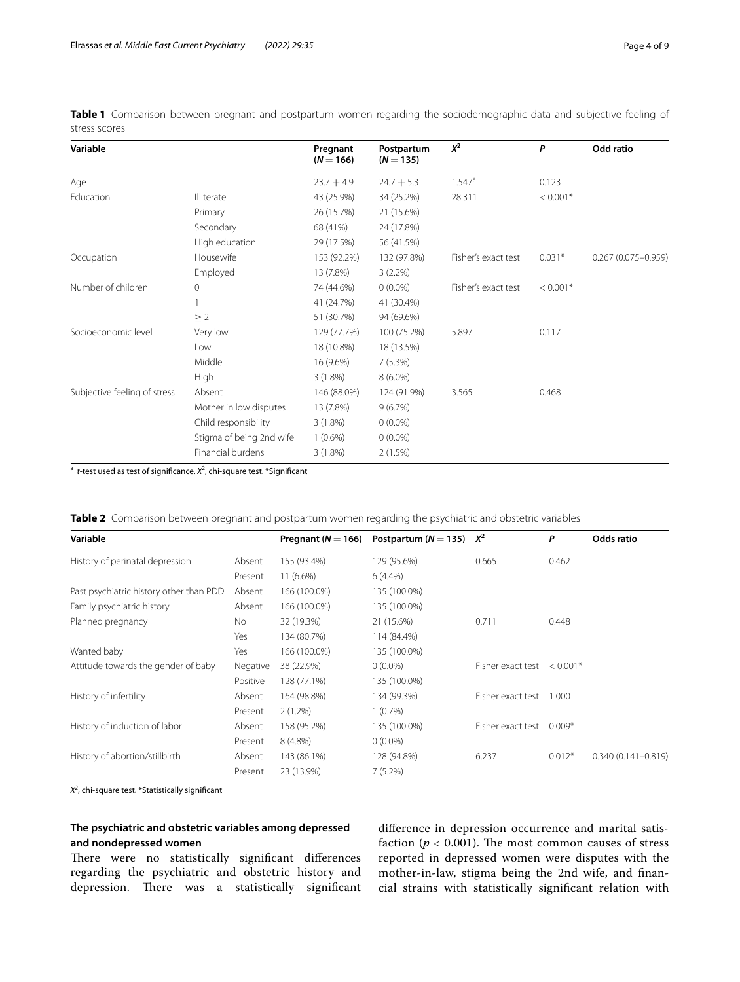| Variable                     |                          | Pregnant<br>$(N = 166)$ | Postpartum<br>$(N = 135)$ | $X^2$                | P          | Odd ratio              |
|------------------------------|--------------------------|-------------------------|---------------------------|----------------------|------------|------------------------|
| Age                          |                          | $23.7 + 4.9$            | $24.7 \pm 5.3$            | $1.547$ <sup>a</sup> | 0.123      |                        |
| Education                    | Illiterate               | 43 (25.9%)              | 34 (25.2%)                | 28.311               | $< 0.001*$ |                        |
|                              | Primary                  | 26 (15.7%)              | 21 (15.6%)                |                      |            |                        |
|                              | Secondary                | 68 (41%)                | 24 (17.8%)                |                      |            |                        |
|                              | High education           | 29 (17.5%)              | 56 (41.5%)                |                      |            |                        |
| Occupation                   | Housewife                | 153 (92.2%)             | 132 (97.8%)               | Fisher's exact test  | $0.031*$   | $0.267(0.075 - 0.959)$ |
|                              | Employed                 | 13 (7.8%)               | $3(2.2\%)$                |                      |            |                        |
| Number of children           | 0                        | 74 (44.6%)              | $0(0.0\%)$                | Fisher's exact test  | $< 0.001*$ |                        |
|                              |                          | 41 (24.7%)              | 41 (30.4%)                |                      |            |                        |
|                              | $\geq 2$                 | 51 (30.7%)              | 94 (69.6%)                |                      |            |                        |
| Socioeconomic level          | Very low                 | 129 (77.7%)             | 100 (75.2%)               | 5.897                | 0.117      |                        |
|                              | Low                      | 18 (10.8%)              | 18 (13.5%)                |                      |            |                        |
|                              | Middle                   | 16 (9.6%)               | 7(5.3%)                   |                      |            |                        |
|                              | High                     | $3(1.8\%)$              | $8(6.0\%)$                |                      |            |                        |
| Subjective feeling of stress | Absent                   | 146 (88.0%)             | 124 (91.9%)               | 3.565                | 0.468      |                        |
|                              | Mother in low disputes   | 13 (7.8%)               | 9(6.7%)                   |                      |            |                        |
|                              | Child responsibility     | $3(1.8\%)$              | $0(0.0\%)$                |                      |            |                        |
|                              | Stigma of being 2nd wife | $1(0.6\%)$              | $0(0.0\%)$                |                      |            |                        |
|                              | Financial burdens        | $3(1.8\%)$              | 2(1.5%)                   |                      |            |                        |

<span id="page-3-0"></span>**Table 1** Comparison between pregnant and postpartum women regarding the sociodemographic data and subjective feeling of stress scores

<sup>a</sup> t-test used as test of significance. *X*<sup>2</sup>, chi-square test. \*Significant

<span id="page-3-1"></span>

|  | Table 2 Comparison between pregnant and postpartum women regarding the psychiatric and obstetric variables<br>in a comparative comparative comparative comparative comparative properties and the properties of the comparative |  |  |  |  |
|--|---------------------------------------------------------------------------------------------------------------------------------------------------------------------------------------------------------------------------------|--|--|--|--|
|  |                                                                                                                                                                                                                                 |  |  |  |  |

| Variable                                |          |              | Pregnant ( $N = 166$ ) Postpartum ( $N = 135$ ) $X^2$ |                   | P          | Odds ratio             |
|-----------------------------------------|----------|--------------|-------------------------------------------------------|-------------------|------------|------------------------|
| History of perinatal depression         | Absent   | 155 (93.4%)  | 129 (95.6%)                                           | 0.665             | 0.462      |                        |
|                                         | Present  | $11(6.6\%)$  | $6(4.4\%)$                                            |                   |            |                        |
| Past psychiatric history other than PDD | Absent   | 166 (100.0%) | 135 (100.0%)                                          |                   |            |                        |
| Family psychiatric history              | Absent   | 166 (100.0%) | 135 (100.0%)                                          |                   |            |                        |
| Planned pregnancy                       | No.      | 32 (19.3%)   | 21 (15.6%)                                            | 0.711             | 0.448      |                        |
|                                         | Yes      | 134 (80.7%)  | 114 (84.4%)                                           |                   |            |                        |
| Wanted baby                             | Yes      | 166 (100.0%) | 135 (100.0%)                                          |                   |            |                        |
| Attitude towards the gender of baby     | Negative | 38 (22.9%)   | $0(0.0\%)$                                            | Fisher exact test | $< 0.001*$ |                        |
|                                         | Positive | 128 (77.1%)  | 135 (100.0%)                                          |                   |            |                        |
| History of infertility                  | Absent   | 164 (98.8%)  | 134 (99.3%)                                           | Fisher exact test | 1.000      |                        |
|                                         | Present  | $2(1.2\%)$   | $1(0.7\%)$                                            |                   |            |                        |
| History of induction of labor           | Absent   | 158 (95.2%)  | 135 (100.0%)                                          | Fisher exact test | $0.009*$   |                        |
|                                         | Present  | 8 (4.8%)     | $0(0.0\%)$                                            |                   |            |                        |
| History of abortion/stillbirth          | Absent   | 143 (86.1%)  | 128 (94.8%)                                           | 6.237             | $0.012*$   | $0.340(0.141 - 0.819)$ |
|                                         | Present  | 23 (13.9%)   | $7(5.2\%)$                                            |                   |            |                        |

*X*2 , chi-square test. \*Statistically signifcant

## **The psychiatric and obstetric variables among depressed and nondepressed women**

There were no statistically significant differences regarding the psychiatric and obstetric history and depression. There was a statistically significant diference in depression occurrence and marital satisfaction ( $p < 0.001$ ). The most common causes of stress reported in depressed women were disputes with the mother-in-law, stigma being the 2nd wife, and fnancial strains with statistically signifcant relation with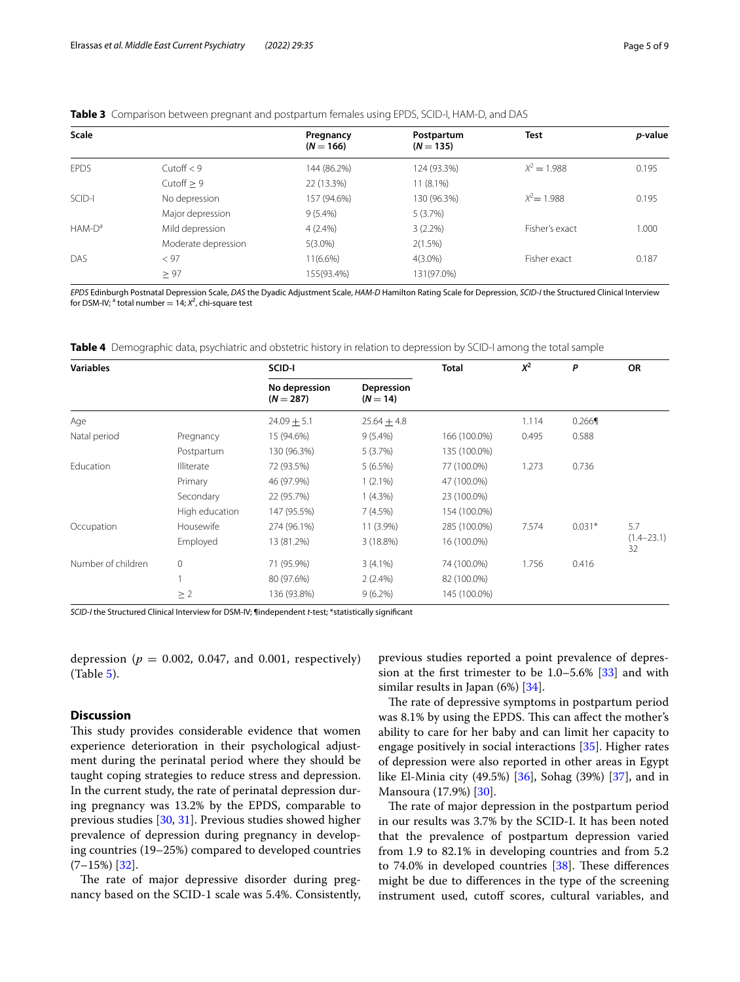## <span id="page-4-0"></span>**Table 3** Comparison between pregnant and postpartum females using EPDS, SCID-I, HAM-D, and DAS

| <b>Scale</b> |                     | Pregnancy<br>$(N = 166)$ | Postpartum<br>$(N = 135)$ | Test           | <i>p</i> -value |
|--------------|---------------------|--------------------------|---------------------------|----------------|-----------------|
| <b>EPDS</b>  | Cutoff $< 9$        | 144 (86.2%)              | 124 (93.3%)               | $X^2 = 1.988$  | 0.195           |
|              | Cutoff $> 9$        | 22 (13.3%)               | $11(8.1\%)$               |                |                 |
| SCID-I       | No depression       | 157 (94.6%)              | 130 (96.3%)               | $X^2 = 1.988$  | 0.195           |
|              | Major depression    | $9(5.4\%)$               | 5(3.7%)                   |                |                 |
| $HAM-Da$     | Mild depression     | $4(2.4\%)$               | $3(2.2\%)$                | Fisher's exact | 1.000           |
|              | Moderate depression | $5(3.0\%)$               | 2(1.5%)                   |                |                 |
| DAS          | < 97                | $11(6.6\%)$              | $4(3.0\%)$                | Fisher exact   | 0.187           |
|              | $\geq 97$           | 155(93.4%)               | 131(97.0%)                |                |                 |

*EPDS* Edinburgh Postnatal Depression Scale, *DAS* the Dyadic Adjustment Scale, *HAM-D* Hamilton Rating Scale for Depression, *SCID-I* the Structured Clinical Interview for DSM-IV; <sup>a</sup> total number = 14; X<sup>2</sup>, chi-square test

<span id="page-4-1"></span>**Table 4** Demographic data, psychiatric and obstetric history in relation to depression by SCID-I among the total sample

| <b>Variables</b>   |                   | SCID-I                       |                          |              | $X^2$ | P        | <b>OR</b>            |
|--------------------|-------------------|------------------------------|--------------------------|--------------|-------|----------|----------------------|
|                    |                   | No depression<br>$(N = 287)$ | Depression<br>$(N = 14)$ |              |       |          |                      |
| Age                |                   | $24.09 + 5.1$                | $25.64 \pm 4.8$          |              | 1.114 | 0.266    |                      |
| Natal period       | Pregnancy         | 15 (94.6%)                   | $9(5.4\%)$               | 166 (100.0%) | 0.495 | 0.588    |                      |
|                    | Postpartum        | 130 (96.3%)                  | 5(3.7%)                  | 135 (100.0%) |       |          |                      |
| Education          | <b>Illiterate</b> | 72 (93.5%)                   | $5(6.5\%)$               | 77 (100.0%)  | 1.273 | 0.736    |                      |
|                    | Primary           | 46 (97.9%)                   | $1(2.1\%)$               | 47 (100.0%)  |       |          |                      |
|                    | Secondary         | 22 (95.7%)                   | $1(4.3\%)$               | 23 (100.0%)  |       |          |                      |
|                    | High education    | 147 (95.5%)                  | 7(4.5%)                  | 154 (100.0%) |       |          |                      |
| Occupation         | Housewife         | 274 (96.1%)                  | $11(3.9\%)$              | 285 (100.0%) | 7.574 | $0.031*$ | 5.7                  |
|                    | Employed          | 13 (81.2%)                   | 3 (18.8%)                | 16 (100.0%)  |       |          | $(1.4 - 23.1)$<br>32 |
| Number of children | $\mathbf{0}$      | 71 (95.9%)                   | $3(4.1\%)$               | 74 (100.0%)  | 1.756 | 0.416    |                      |
|                    |                   | 80 (97.6%)                   | $2(2.4\%)$               | 82 (100.0%)  |       |          |                      |
|                    | $\geq$ 2          | 136 (93.8%)                  | $9(6.2\%)$               | 145 (100.0%) |       |          |                      |

*SCID-I* the Structured Clinical Interview for DSM-IV; ¶independent *t*-test; \*statistically signifcant

depression ( $p = 0.002$ , 0.047, and 0.001, respectively) (Table [5\)](#page-5-0).

## **Discussion**

This study provides considerable evidence that women experience deterioration in their psychological adjustment during the perinatal period where they should be taught coping strategies to reduce stress and depression. In the current study, the rate of perinatal depression during pregnancy was 13.2% by the EPDS, comparable to previous studies [[30,](#page-7-28) [31](#page-7-29)]. Previous studies showed higher prevalence of depression during pregnancy in developing countries (19–25%) compared to developed countries  $(7-15%)$  [\[32\]](#page-7-30).

The rate of major depressive disorder during pregnancy based on the SCID-1 scale was 5.4%. Consistently, previous studies reported a point prevalence of depression at the frst trimester to be 1.0–5.6% [[33](#page-7-31)] and with similar results in Japan (6%) [\[34](#page-7-32)].

The rate of depressive symptoms in postpartum period was 8.1% by using the EPDS. This can affect the mother's ability to care for her baby and can limit her capacity to engage positively in social interactions [\[35](#page-7-33)]. Higher rates of depression were also reported in other areas in Egypt like El-Minia city (49.5%) [[36\]](#page-7-34), Sohag (39%) [\[37](#page-7-35)], and in Mansoura (17.9%) [\[30](#page-7-28)].

The rate of major depression in the postpartum period in our results was 3.7% by the SCID-I. It has been noted that the prevalence of postpartum depression varied from 1.9 to 82.1% in developing countries and from 5.2 to 74.0% in developed countries  $[38]$  $[38]$  $[38]$ . These differences might be due to diferences in the type of the screening instrument used, cutoff scores, cultural variables, and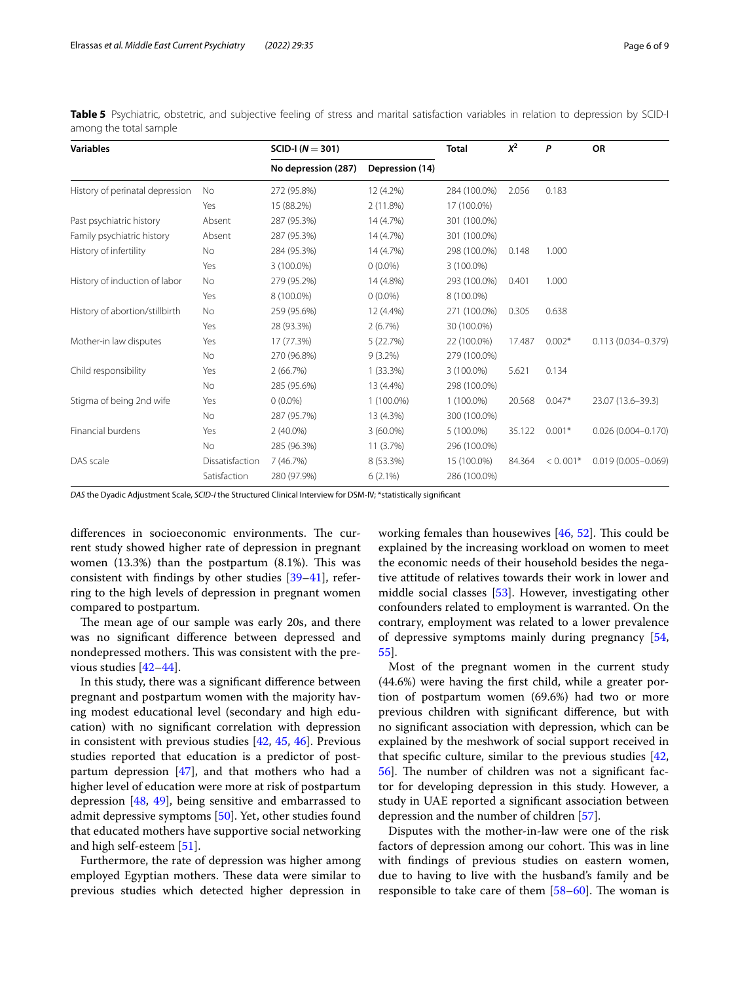| <b>Variables</b>                |                 | $SCID-I (N = 301)$  |                 |              | $X^2$  | P          | OR                     |  |
|---------------------------------|-----------------|---------------------|-----------------|--------------|--------|------------|------------------------|--|
|                                 |                 | No depression (287) | Depression (14) |              |        |            |                        |  |
| History of perinatal depression | <b>No</b>       | 272 (95.8%)         | 12 (4.2%)       | 284 (100.0%) | 2.056  | 0.183      |                        |  |
|                                 | Yes             | 15 (88.2%)          | 2(11.8%)        | 17 (100.0%)  |        |            |                        |  |
| Past psychiatric history        | Absent          | 287 (95.3%)         | 14 (4.7%)       | 301 (100.0%) |        |            |                        |  |
| Family psychiatric history      | Absent          | 287 (95.3%)         | 14 (4.7%)       | 301 (100.0%) |        |            |                        |  |
| History of infertility          | No              | 284 (95.3%)         | 14 (4.7%)       | 298 (100.0%) | 0.148  | 1.000      |                        |  |
|                                 | Yes             | 3 (100.0%)          | $0(0.0\%)$      | 3 (100.0%)   |        |            |                        |  |
| History of induction of labor   | <b>No</b>       | 279 (95.2%)         | 14 (4.8%)       | 293 (100.0%) | 0.401  | 1.000      |                        |  |
|                                 | Yes             | 8 (100.0%)          | $0(0.0\%)$      | 8 (100.0%)   |        |            |                        |  |
| History of abortion/stillbirth  | No              | 259 (95.6%)         | 12 (4.4%)       | 271 (100.0%) | 0.305  | 0.638      |                        |  |
|                                 | Yes             | 28 (93.3%)          | 2(6.7%)         | 30 (100.0%)  |        |            |                        |  |
| Mother-in law disputes          | Yes             | 17 (77.3%)          | 5(22.7%)        | 22 (100.0%)  | 17.487 | $0.002*$   | $0.113(0.034 - 0.379)$ |  |
|                                 | No              | 270 (96.8%)         | $9(3.2\%)$      | 279 (100.0%) |        |            |                        |  |
| Child responsibility            | Yes             | 2(66.7%)            | $1(33.3\%)$     | 3 (100.0%)   | 5.621  | 0.134      |                        |  |
|                                 | No              | 285 (95.6%)         | 13 (4.4%)       | 298 (100.0%) |        |            |                        |  |
| Stigma of being 2nd wife        | Yes             | $0(0.0\%)$          | 1 (100.0%)      | $1(100.0\%)$ | 20.568 | $0.047*$   | 23.07 (13.6-39.3)      |  |
|                                 | No              | 287 (95.7%)         | 13 (4.3%)       | 300 (100.0%) |        |            |                        |  |
| Financial burdens               | Yes             | $2(40.0\%)$         | $3(60.0\%)$     | $5(100.0\%)$ | 35.122 | $0.001*$   | $0.026(0.004 - 0.170)$ |  |
|                                 | <b>No</b>       | 285 (96.3%)         | 11 (3.7%)       | 296 (100.0%) |        |            |                        |  |
| DAS scale                       | Dissatisfaction | 7(46.7%)            | 8 (53.3%)       | 15 (100.0%)  | 84.364 | $< 0.001*$ | $0.019(0.005 - 0.069)$ |  |
|                                 | Satisfaction    | 280 (97.9%)         | $6(2.1\%)$      | 286 (100.0%) |        |            |                        |  |

<span id="page-5-0"></span>Table 5 Psychiatric, obstetric, and subjective feeling of stress and marital satisfaction variables in relation to depression by SCID-I among the total sample

*DAS* the Dyadic Adjustment Scale, *SCID-I* the Structured Clinical Interview for DSM-IV; \*statistically signifcant

differences in socioeconomic environments. The current study showed higher rate of depression in pregnant women  $(13.3%)$  than the postpartum  $(8.1%)$ . This was consistent with fndings by other studies [\[39](#page-7-37)[–41](#page-7-38)], referring to the high levels of depression in pregnant women compared to postpartum.

The mean age of our sample was early 20s, and there was no signifcant diference between depressed and nondepressed mothers. This was consistent with the previous studies [[42](#page-7-39)[–44](#page-8-0)].

In this study, there was a signifcant diference between pregnant and postpartum women with the majority having modest educational level (secondary and high education) with no signifcant correlation with depression in consistent with previous studies [[42](#page-7-39), [45,](#page-8-1) [46\]](#page-8-2). Previous studies reported that education is a predictor of postpartum depression  $[47]$ , and that mothers who had a higher level of education were more at risk of postpartum depression [[48,](#page-8-4) [49](#page-8-5)], being sensitive and embarrassed to admit depressive symptoms [[50\]](#page-8-6). Yet, other studies found that educated mothers have supportive social networking and high self-esteem [\[51](#page-8-7)].

Furthermore, the rate of depression was higher among employed Egyptian mothers. These data were similar to previous studies which detected higher depression in working females than housewives  $[46, 52]$  $[46, 52]$  $[46, 52]$  $[46, 52]$  $[46, 52]$ . This could be explained by the increasing workload on women to meet the economic needs of their household besides the negative attitude of relatives towards their work in lower and middle social classes [\[53\]](#page-8-9). However, investigating other confounders related to employment is warranted. On the contrary, employment was related to a lower prevalence of depressive symptoms mainly during pregnancy [[54](#page-8-10), [55\]](#page-8-11).

Most of the pregnant women in the current study (44.6%) were having the frst child, while a greater portion of postpartum women (69.6%) had two or more previous children with signifcant diference, but with no signifcant association with depression, which can be explained by the meshwork of social support received in that specifc culture, similar to the previous studies [[42](#page-7-39), 56. The number of children was not a significant factor for developing depression in this study. However, a study in UAE reported a signifcant association between depression and the number of children [\[57](#page-8-13)].

Disputes with the mother-in-law were one of the risk factors of depression among our cohort. This was in line with fndings of previous studies on eastern women, due to having to live with the husband's family and be responsible to take care of them  $[58-60]$  $[58-60]$  $[58-60]$ . The woman is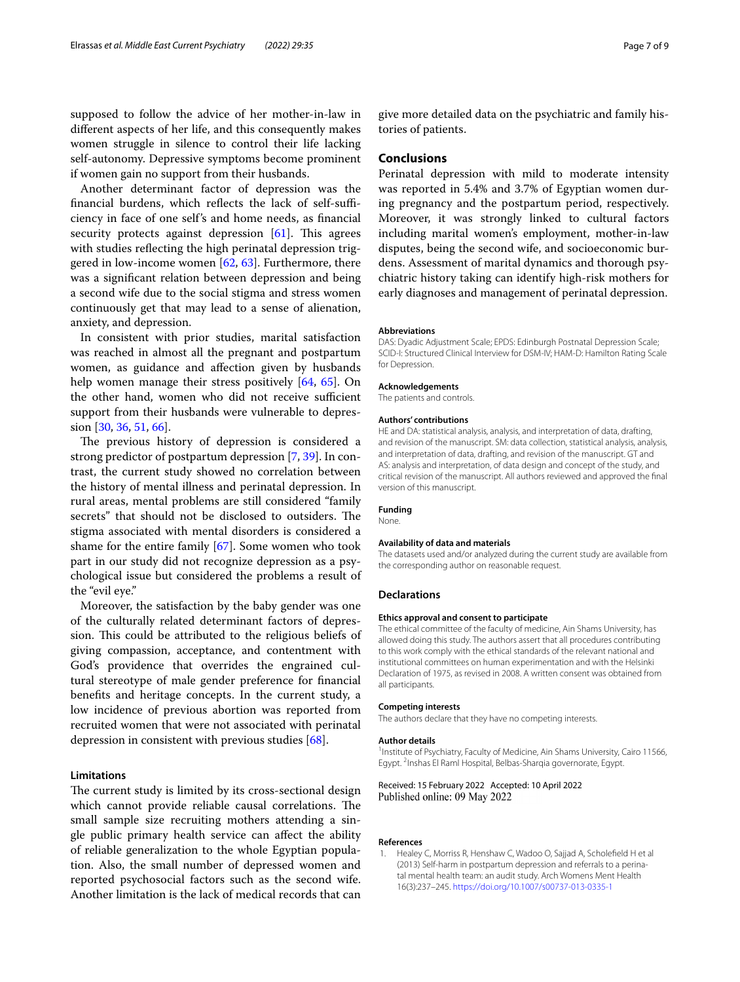supposed to follow the advice of her mother-in-law in diferent aspects of her life, and this consequently makes women struggle in silence to control their life lacking self-autonomy. Depressive symptoms become prominent if women gain no support from their husbands.

Another determinant factor of depression was the financial burdens, which reflects the lack of self-sufficiency in face of one self's and home needs, as fnancial security protects against depression  $[61]$  $[61]$ . This agrees with studies refecting the high perinatal depression triggered in low-income women [[62,](#page-8-17) [63](#page-8-18)]. Furthermore, there was a signifcant relation between depression and being a second wife due to the social stigma and stress women continuously get that may lead to a sense of alienation, anxiety, and depression.

In consistent with prior studies, marital satisfaction was reached in almost all the pregnant and postpartum women, as guidance and afection given by husbands help women manage their stress positively [[64,](#page-8-19) [65](#page-8-20)]. On the other hand, women who did not receive sufficient support from their husbands were vulnerable to depression [\[30](#page-7-28), [36](#page-7-34), [51,](#page-8-7) [66](#page-8-21)].

The previous history of depression is considered a strong predictor of postpartum depression [[7,](#page-7-5) [39\]](#page-7-37). In contrast, the current study showed no correlation between the history of mental illness and perinatal depression. In rural areas, mental problems are still considered "family secrets" that should not be disclosed to outsiders. The stigma associated with mental disorders is considered a shame for the entire family  $[67]$  $[67]$  $[67]$ . Some women who took part in our study did not recognize depression as a psychological issue but considered the problems a result of the "evil eye."

Moreover, the satisfaction by the baby gender was one of the culturally related determinant factors of depression. This could be attributed to the religious beliefs of giving compassion, acceptance, and contentment with God's providence that overrides the engrained cultural stereotype of male gender preference for fnancial benefts and heritage concepts. In the current study, a low incidence of previous abortion was reported from recruited women that were not associated with perinatal depression in consistent with previous studies [\[68](#page-8-23)].

## **Limitations**

The current study is limited by its cross-sectional design which cannot provide reliable causal correlations. The small sample size recruiting mothers attending a single public primary health service can afect the ability of reliable generalization to the whole Egyptian population. Also, the small number of depressed women and reported psychosocial factors such as the second wife. Another limitation is the lack of medical records that can give more detailed data on the psychiatric and family histories of patients.

## **Conclusions**

Perinatal depression with mild to moderate intensity was reported in 5.4% and 3.7% of Egyptian women during pregnancy and the postpartum period, respectively. Moreover, it was strongly linked to cultural factors including marital women's employment, mother-in-law disputes, being the second wife, and socioeconomic burdens. Assessment of marital dynamics and thorough psychiatric history taking can identify high-risk mothers for early diagnoses and management of perinatal depression.

#### **Abbreviations**

DAS: Dyadic Adjustment Scale; EPDS: Edinburgh Postnatal Depression Scale; SCID-I: Structured Clinical Interview for DSM-IV; HAM-D: Hamilton Rating Scale for Depression.

#### **Acknowledgements**

The patients and controls.

#### **Authors' contributions**

HE and DA: statistical analysis, analysis, and interpretation of data, drafting, and revision of the manuscript. SM: data collection, statistical analysis, analysis, and interpretation of data, drafting, and revision of the manuscript. GT and AS: analysis and interpretation, of data design and concept of the study, and critical revision of the manuscript. All authors reviewed and approved the fnal version of this manuscript.

#### **Funding**

None.

#### **Availability of data and materials**

The datasets used and/or analyzed during the current study are available from the corresponding author on reasonable request.

#### **Declarations**

#### **Ethics approval and consent to participate**

The ethical committee of the faculty of medicine, Ain Shams University, has allowed doing this study. The authors assert that all procedures contributing to this work comply with the ethical standards of the relevant national and institutional committees on human experimentation and with the Helsinki Declaration of 1975, as revised in 2008. A written consent was obtained from all participants.

#### **Competing interests**

The authors declare that they have no competing interests.

#### **Author details**

<sup>1</sup> Institute of Psychiatry, Faculty of Medicine, Ain Shams University, Cairo 11566, Egypt. <sup>2</sup>Inshas El Raml Hospital, Belbas-Sharqia governorate, Egypt.

Received: 15 February 2022 Accepted: 10 April 2022 Published online: 09 May 2022

#### **References**

<span id="page-6-0"></span>1. Healey C, Morriss R, Henshaw C, Wadoo O, Sajjad A, Scholefeld H et al (2013) Self-harm in postpartum depression and referrals to a perinatal mental health team: an audit study. Arch Womens Ment Health 16(3):237–245. <https://doi.org/10.1007/s00737-013-0335-1>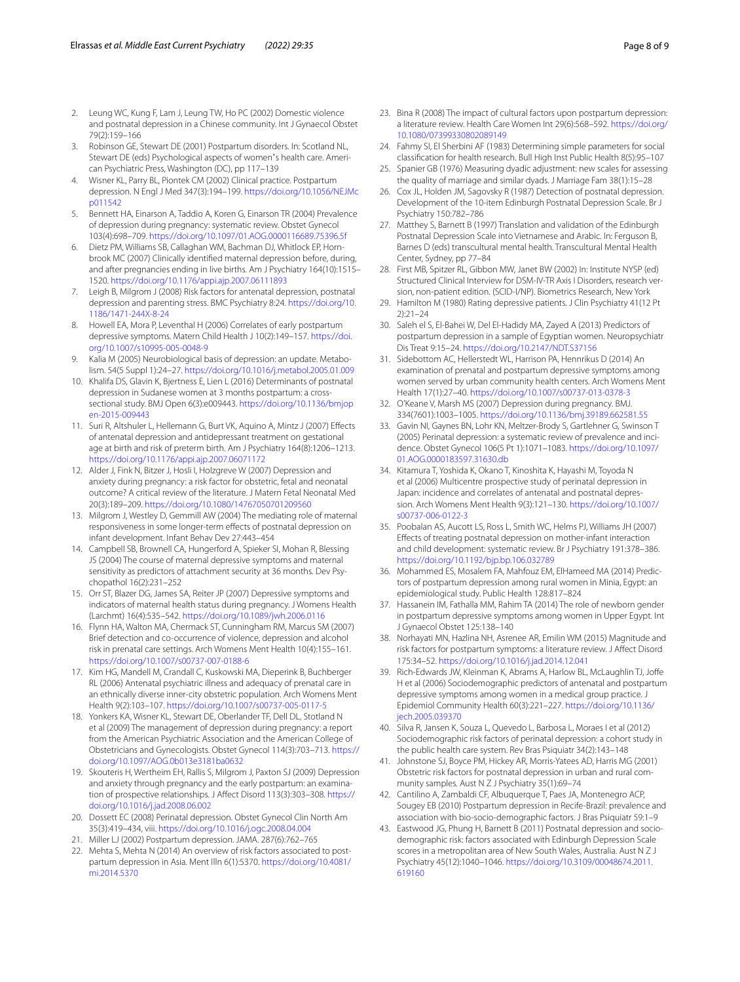- <span id="page-7-0"></span>2. Leung WC, Kung F, Lam J, Leung TW, Ho PC (2002) Domestic violence and postnatal depression in a Chinese community. Int J Gynaecol Obstet 79(2):159–166
- <span id="page-7-1"></span>3. Robinson GE, Stewart DE (2001) Postpartum disorders. In: Scotland NL, Stewart DE (eds) Psychological aspects of women's health care. American Psychiatric Press, Washington (DC), pp 117–139
- <span id="page-7-2"></span>4. Wisner KL, Parry BL, Piontek CM (2002) Clinical practice. Postpartum depression. N Engl J Med 347(3):194–199. [https://doi.org/10.1056/NEJMc](https://doi.org/10.1056/NEJMcp011542) [p011542](https://doi.org/10.1056/NEJMcp011542)
- <span id="page-7-3"></span>5. Bennett HA, Einarson A, Taddio A, Koren G, Einarson TR (2004) Prevalence of depression during pregnancy: systematic review. Obstet Gynecol 103(4):698–709.<https://doi.org/10.1097/01.AOG.0000116689.75396.5f>
- <span id="page-7-4"></span>6. Dietz PM, Williams SB, Callaghan WM, Bachman DJ, Whitlock EP, Hornbrook MC (2007) Clinically identifed maternal depression before, during, and after pregnancies ending in live births. Am J Psychiatry 164(10):1515– 1520.<https://doi.org/10.1176/appi.ajp.2007.06111893>
- <span id="page-7-5"></span>7. Leigh B, Milgrom J (2008) Risk factors for antenatal depression, postnatal depression and parenting stress. BMC Psychiatry 8:24. [https://doi.org/10.](https://doi.org/10.1186/1471-244X-8-24) [1186/1471-244X-8-24](https://doi.org/10.1186/1471-244X-8-24)
- <span id="page-7-6"></span>8. Howell EA, Mora P, Leventhal H (2006) Correlates of early postpartum depressive symptoms. Matern Child Health J 10(2):149–157. [https://doi.](https://doi.org/10.1007/s10995-005-0048-9) [org/10.1007/s10995-005-0048-9](https://doi.org/10.1007/s10995-005-0048-9)
- <span id="page-7-7"></span>9. Kalia M (2005) Neurobiological basis of depression: an update. Metabolism. 54(5 Suppl 1):24–27. <https://doi.org/10.1016/j.metabol.2005.01.009>
- <span id="page-7-8"></span>10. Khalifa DS, Glavin K, Bjertness E, Lien L (2016) Determinants of postnatal depression in Sudanese women at 3 months postpartum: a crosssectional study. BMJ Open 6(3):e009443. [https://doi.org/10.1136/bmjop](https://doi.org/10.1136/bmjopen-2015-009443) [en-2015-009443](https://doi.org/10.1136/bmjopen-2015-009443)
- <span id="page-7-9"></span>11. Suri R, Altshuler L, Hellemann G, Burt VK, Aquino A, Mintz J (2007) Effects of antenatal depression and antidepressant treatment on gestational age at birth and risk of preterm birth. Am J Psychiatry 164(8):1206–1213. <https://doi.org/10.1176/appi.ajp.2007.06071172>
- <span id="page-7-10"></span>12. Alder J, Fink N, Bitzer J, Hosli I, Holzgreve W (2007) Depression and anxiety during pregnancy: a risk factor for obstetric, fetal and neonatal outcome? A critical review of the literature. J Matern Fetal Neonatal Med 20(3):189–209. <https://doi.org/10.1080/14767050701209560>
- <span id="page-7-11"></span>13. Milgrom J, Westley D, Gemmill AW (2004) The mediating role of maternal responsiveness in some longer-term efects of postnatal depression on infant development. Infant Behav Dev 27:443–454
- <span id="page-7-12"></span>14. Campbell SB, Brownell CA, Hungerford A, Spieker SI, Mohan R, Blessing JS (2004) The course of maternal depressive symptoms and maternal sensitivity as predictors of attachment security at 36 months. Dev Psychopathol 16(2):231–252
- <span id="page-7-13"></span>15. Orr ST, Blazer DG, James SA, Reiter JP (2007) Depressive symptoms and indicators of maternal health status during pregnancy. J Womens Health (Larchmt) 16(4):535–542. <https://doi.org/10.1089/jwh.2006.0116>
- <span id="page-7-14"></span>16. Flynn HA, Walton MA, Chermack ST, Cunningham RM, Marcus SM (2007) Brief detection and co-occurrence of violence, depression and alcohol risk in prenatal care settings. Arch Womens Ment Health 10(4):155–161. <https://doi.org/10.1007/s00737-007-0188-6>
- <span id="page-7-15"></span>17. Kim HG, Mandell M, Crandall C, Kuskowski MA, Dieperink B, Buchberger RL (2006) Antenatal psychiatric illness and adequacy of prenatal care in an ethnically diverse inner-city obstetric population. Arch Womens Ment Health 9(2):103–107.<https://doi.org/10.1007/s00737-005-0117-5>
- <span id="page-7-16"></span>18. Yonkers KA, Wisner KL, Stewart DE, Oberlander TF, Dell DL, Stotland N et al (2009) The management of depression during pregnancy: a report from the American Psychiatric Association and the American College of Obstetricians and Gynecologists. Obstet Gynecol 114(3):703–713. [https://](https://doi.org/10.1097/AOG.0b013e3181ba0632) [doi.org/10.1097/AOG.0b013e3181ba0632](https://doi.org/10.1097/AOG.0b013e3181ba0632)
- <span id="page-7-17"></span>19. Skouteris H, Wertheim EH, Rallis S, Milgrom J, Paxton SJ (2009) Depression and anxiety through pregnancy and the early postpartum: an examination of prospective relationships. J Afect Disord 113(3):303–308. [https://](https://doi.org/10.1016/j.jad.2008.06.002) [doi.org/10.1016/j.jad.2008.06.002](https://doi.org/10.1016/j.jad.2008.06.002)
- <span id="page-7-18"></span>20. Dossett EC (2008) Perinatal depression. Obstet Gynecol Clin North Am 35(3):419–434, viii. <https://doi.org/10.1016/j.ogc.2008.04.004>
- <span id="page-7-19"></span>21. Miller LJ (2002) Postpartum depression. JAMA. 287(6):762–765
- <span id="page-7-20"></span>22. Mehta S, Mehta N (2014) An overview of risk factors associated to postpartum depression in Asia. Ment Illn 6(1):5370. [https://doi.org/10.4081/](https://doi.org/10.4081/mi.2014.5370) [mi.2014.5370](https://doi.org/10.4081/mi.2014.5370)
- <span id="page-7-21"></span>23. Bina R (2008) The impact of cultural factors upon postpartum depression: a literature review. Health Care Women Int 29(6):568–592. [https://doi.org/](https://doi.org/10.1080/07399330802089149) [10.1080/07399330802089149](https://doi.org/10.1080/07399330802089149)
- <span id="page-7-22"></span>24. Fahmy SI, El Sherbini AF (1983) Determining simple parameters for social classifcation for health research. Bull High Inst Public Health 8(5):95–107
- <span id="page-7-23"></span>25. Spanier GB (1976) Measuring dyadic adjustment: new scales for assessing the quality of marriage and similar dyads. J Marriage Fam 38(1):15–28
- <span id="page-7-24"></span>26. Cox JL, Holden JM, Sagovsky R (1987) Detection of postnatal depression. Development of the 10-item Edinburgh Postnatal Depression Scale. Br J Psychiatry 150:782–786
- <span id="page-7-25"></span>27. Matthey S, Barnett B (1997) Translation and validation of the Edinburgh Postnatal Depression Scale into Vietnamese and Arabic. In: Ferguson B, Barnes D (eds) transcultural mental health. Transcultural Mental Health Center, Sydney, pp 77–84
- <span id="page-7-26"></span>28. First MB, Spitzer RL, Gibbon MW, Janet BW (2002) In: Institute NYSP (ed) Structured Clinical Interview for DSM-IV-TR Axis I Disorders, research version, non-patient edition. (SCID-I/NP). Biometrics Research, New York
- <span id="page-7-27"></span>29. Hamilton M (1980) Rating depressive patients. J Clin Psychiatry 41(12 Pt 2):21–24
- <span id="page-7-28"></span>30. Saleh el S, El-Bahei W, Del El-Hadidy MA, Zayed A (2013) Predictors of postpartum depression in a sample of Egyptian women. Neuropsychiatr Dis Treat 9:15–24. <https://doi.org/10.2147/NDT.S37156>
- <span id="page-7-29"></span>31. Sidebottom AC, Hellerstedt WL, Harrison PA, Hennrikus D (2014) An examination of prenatal and postpartum depressive symptoms among women served by urban community health centers. Arch Womens Ment Health 17(1):27–40. <https://doi.org/10.1007/s00737-013-0378-3>
- <span id="page-7-30"></span>32. O'Keane V, Marsh MS (2007) Depression during pregnancy. BMJ. 334(7601):1003–1005. <https://doi.org/10.1136/bmj.39189.662581.55>
- <span id="page-7-31"></span>33. Gavin NI, Gaynes BN, Lohr KN, Meltzer-Brody S, Gartlehner G, Swinson T (2005) Perinatal depression: a systematic review of prevalence and incidence. Obstet Gynecol 106(5 Pt 1):1071–1083. [https://doi.org/10.1097/](https://doi.org/10.1097/01.AOG.0000183597.31630.db) [01.AOG.0000183597.31630.db](https://doi.org/10.1097/01.AOG.0000183597.31630.db)
- <span id="page-7-32"></span>34. Kitamura T, Yoshida K, Okano T, Kinoshita K, Hayashi M, Toyoda N et al (2006) Multicentre prospective study of perinatal depression in Japan: incidence and correlates of antenatal and postnatal depression. Arch Womens Ment Health 9(3):121–130. [https://doi.org/10.1007/](https://doi.org/10.1007/s00737-006-0122-3) [s00737-006-0122-3](https://doi.org/10.1007/s00737-006-0122-3)
- <span id="page-7-33"></span>35. Poobalan AS, Aucott LS, Ross L, Smith WC, Helms PJ, Williams JH (2007) Efects of treating postnatal depression on mother-infant interaction and child development: systematic review. Br J Psychiatry 191:378–386. <https://doi.org/10.1192/bjp.bp.106.032789>
- <span id="page-7-34"></span>36. Mohammed ES, Mosalem FA, Mahfouz EM, ElHameed MA (2014) Predictors of postpartum depression among rural women in Minia, Egypt: an epidemiological study. Public Health 128:817–824
- <span id="page-7-35"></span>37. Hassanein IM, Fathalla MM, Rahim TA (2014) The role of newborn gender in postpartum depressive symptoms among women in Upper Egypt. Int J Gynaecol Obstet 125:138–140
- <span id="page-7-36"></span>38. Norhayati MN, Hazlina NH, Asrenee AR, Emilin WM (2015) Magnitude and risk factors for postpartum symptoms: a literature review. J Afect Disord 175:34–52.<https://doi.org/10.1016/j.jad.2014.12.041>
- <span id="page-7-37"></span>39. Rich-Edwards JW, Kleinman K, Abrams A, Harlow BL, McLaughlin TJ, Jofe H et al (2006) Sociodemographic predictors of antenatal and postpartum depressive symptoms among women in a medical group practice. J Epidemiol Community Health 60(3):221–227. [https://doi.org/10.1136/](https://doi.org/10.1136/jech.2005.039370) [jech.2005.039370](https://doi.org/10.1136/jech.2005.039370)
- 40. Silva R, Jansen K, Souza L, Quevedo L, Barbosa L, Moraes I et al (2012) Sociodemographic risk factors of perinatal depression: a cohort study in the public health care system. Rev Bras Psiquiatr 34(2):143–148
- <span id="page-7-38"></span>41. Johnstone SJ, Boyce PM, Hickey AR, Morris-Yatees AD, Harris MG (2001) Obstetric risk factors for postnatal depression in urban and rural community samples. Aust N Z J Psychiatry 35(1):69–74
- <span id="page-7-39"></span>42. Cantilino A, Zambaldi CF, Albuquerque T, Paes JA, Montenegro ACP, Sougey EB (2010) Postpartum depression in Recife-Brazil: prevalence and association with bio-socio-demographic factors. J Bras Psiquiatr 59:1–9
- 43. Eastwood JG, Phung H, Barnett B (2011) Postnatal depression and sociodemographic risk: factors associated with Edinburgh Depression Scale scores in a metropolitan area of New South Wales, Australia. Aust N Z J Psychiatry 45(12):1040–1046. [https://doi.org/10.3109/00048674.2011.](https://doi.org/10.3109/00048674.2011.619160) [619160](https://doi.org/10.3109/00048674.2011.619160)